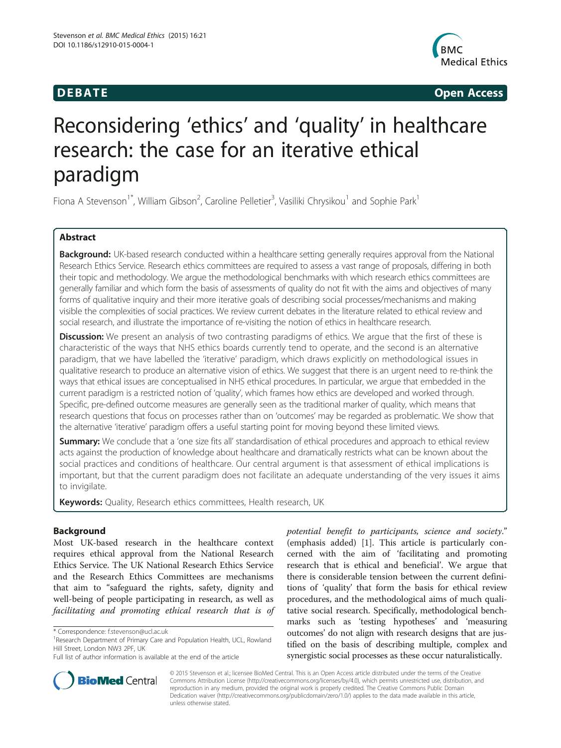

**DEBATE CONSIDERENT CONSIDERED ACCESS** 

# Reconsidering 'ethics' and 'quality' in healthcare research: the case for an iterative ethical paradigm

Fiona A Stevenson<sup>1\*</sup>, William Gibson<sup>2</sup>, Caroline Pelletier<sup>3</sup>, Vasiliki Chrysikou<sup>1</sup> and Sophie Park<sup>1</sup>

# Abstract

Background: UK-based research conducted within a healthcare setting generally requires approval from the National Research Ethics Service. Research ethics committees are required to assess a vast range of proposals, differing in both their topic and methodology. We argue the methodological benchmarks with which research ethics committees are generally familiar and which form the basis of assessments of quality do not fit with the aims and objectives of many forms of qualitative inquiry and their more iterative goals of describing social processes/mechanisms and making visible the complexities of social practices. We review current debates in the literature related to ethical review and social research, and illustrate the importance of re-visiting the notion of ethics in healthcare research.

**Discussion:** We present an analysis of two contrasting paradigms of ethics. We argue that the first of these is characteristic of the ways that NHS ethics boards currently tend to operate, and the second is an alternative paradigm, that we have labelled the 'iterative' paradigm, which draws explicitly on methodological issues in qualitative research to produce an alternative vision of ethics. We suggest that there is an urgent need to re-think the ways that ethical issues are conceptualised in NHS ethical procedures. In particular, we argue that embedded in the current paradigm is a restricted notion of 'quality', which frames how ethics are developed and worked through. Specific, pre-defined outcome measures are generally seen as the traditional marker of quality, which means that research questions that focus on processes rather than on 'outcomes' may be regarded as problematic. We show that the alternative 'iterative' paradigm offers a useful starting point for moving beyond these limited views.

**Summary:** We conclude that a 'one size fits all' standardisation of ethical procedures and approach to ethical review acts against the production of knowledge about healthcare and dramatically restricts what can be known about the social practices and conditions of healthcare. Our central argument is that assessment of ethical implications is important, but that the current paradigm does not facilitate an adequate understanding of the very issues it aims to invigilate.

Keywords: Quality, Research ethics committees, Health research, UK

## Background

Most UK-based research in the healthcare context requires ethical approval from the National Research Ethics Service. The UK National Research Ethics Service and the Research Ethics Committees are mechanisms that aim to "safeguard the rights, safety, dignity and well-being of people participating in research, as well as facilitating and promoting ethical research that is of potential benefit to participants, science and society." (emphasis added) [\[1](#page-8-0)]. This article is particularly concerned with the aim of 'facilitating and promoting research that is ethical and beneficial'. We argue that there is considerable tension between the current definitions of 'quality' that form the basis for ethical review procedures, and the methodological aims of much qualitative social research. Specifically, methodological benchmarks such as 'testing hypotheses' and 'measuring outcomes' do not align with research designs that are justified on the basis of describing multiple, complex and synergistic social processes as these occur naturalistically.



© 2015 Stevenson et al.; licensee BioMed Central. This is an Open Access article distributed under the terms of the Creative Commons Attribution License [\(http://creativecommons.org/licenses/by/4.0\)](http://creativecommons.org/licenses/by/4.0), which permits unrestricted use, distribution, and reproduction in any medium, provided the original work is properly credited. The Creative Commons Public Domain Dedication waiver [\(http://creativecommons.org/publicdomain/zero/1.0/](http://creativecommons.org/publicdomain/zero/1.0/)) applies to the data made available in this article, unless otherwise stated.

<sup>\*</sup> Correspondence: [f.stevenson@ucl.ac.uk](mailto:f.stevenson@ucl.ac.uk) <sup>1</sup>

<sup>&</sup>lt;sup>1</sup> Research Department of Primary Care and Population Health, UCL, Rowland Hill Street, London NW3 2PF, UK

Full list of author information is available at the end of the article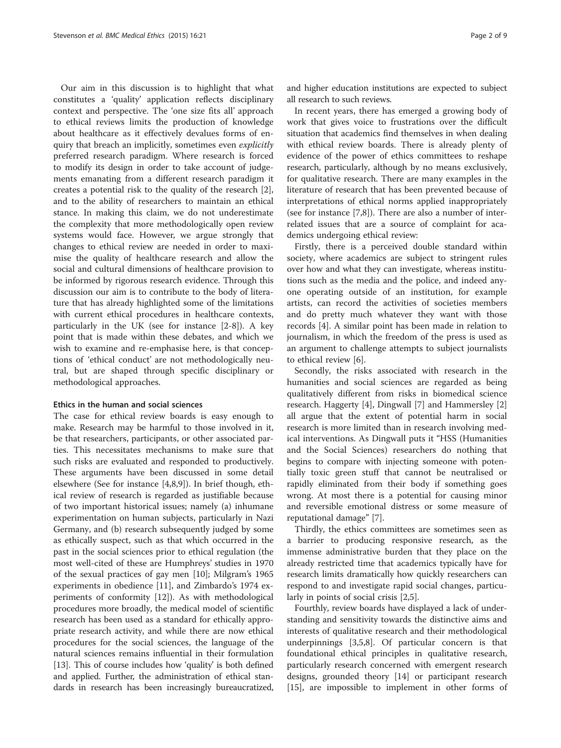Our aim in this discussion is to highlight that what constitutes a 'quality' application reflects disciplinary context and perspective. The 'one size fits all' approach to ethical reviews limits the production of knowledge about healthcare as it effectively devalues forms of enquiry that breach an implicitly, sometimes even explicitly preferred research paradigm. Where research is forced to modify its design in order to take account of judgements emanating from a different research paradigm it creates a potential risk to the quality of the research [\[2](#page-8-0)], and to the ability of researchers to maintain an ethical stance. In making this claim, we do not underestimate the complexity that more methodologically open review systems would face. However, we argue strongly that changes to ethical review are needed in order to maximise the quality of healthcare research and allow the social and cultural dimensions of healthcare provision to be informed by rigorous research evidence. Through this discussion our aim is to contribute to the body of literature that has already highlighted some of the limitations with current ethical procedures in healthcare contexts, particularly in the UK (see for instance [[2-8](#page-8-0)]). A key point that is made within these debates, and which we wish to examine and re-emphasise here, is that conceptions of 'ethical conduct' are not methodologically neutral, but are shaped through specific disciplinary or methodological approaches.

### Ethics in the human and social sciences

The case for ethical review boards is easy enough to make. Research may be harmful to those involved in it, be that researchers, participants, or other associated parties. This necessitates mechanisms to make sure that such risks are evaluated and responded to productively. These arguments have been discussed in some detail elsewhere (See for instance [[4,8,9](#page-8-0)]). In brief though, ethical review of research is regarded as justifiable because of two important historical issues; namely (a) inhumane experimentation on human subjects, particularly in Nazi Germany, and (b) research subsequently judged by some as ethically suspect, such as that which occurred in the past in the social sciences prior to ethical regulation (the most well-cited of these are Humphreys' studies in 1970 of the sexual practices of gay men [[10\]](#page-8-0); Milgram's 1965 experiments in obedience [\[11\]](#page-8-0), and Zimbardo's 1974 experiments of conformity [\[12\]](#page-8-0)). As with methodological procedures more broadly, the medical model of scientific research has been used as a standard for ethically appropriate research activity, and while there are now ethical procedures for the social sciences, the language of the natural sciences remains influential in their formulation [[13\]](#page-8-0). This of course includes how 'quality' is both defined and applied. Further, the administration of ethical standards in research has been increasingly bureaucratized,

and higher education institutions are expected to subject all research to such reviews.

In recent years, there has emerged a growing body of work that gives voice to frustrations over the difficult situation that academics find themselves in when dealing with ethical review boards. There is already plenty of evidence of the power of ethics committees to reshape research, particularly, although by no means exclusively, for qualitative research. There are many examples in the literature of research that has been prevented because of interpretations of ethical norms applied inappropriately (see for instance [[7,8\]](#page-8-0)). There are also a number of interrelated issues that are a source of complaint for academics undergoing ethical review:

Firstly, there is a perceived double standard within society, where academics are subject to stringent rules over how and what they can investigate, whereas institutions such as the media and the police, and indeed anyone operating outside of an institution, for example artists, can record the activities of societies members and do pretty much whatever they want with those records [\[4](#page-8-0)]. A similar point has been made in relation to journalism, in which the freedom of the press is used as an argument to challenge attempts to subject journalists to ethical review [\[6](#page-8-0)].

Secondly, the risks associated with research in the humanities and social sciences are regarded as being qualitatively different from risks in biomedical science research. Haggerty [\[4](#page-8-0)], Dingwall [\[7](#page-8-0)] and Hammersley [\[2](#page-8-0)] all argue that the extent of potential harm in social research is more limited than in research involving medical interventions. As Dingwall puts it "HSS (Humanities and the Social Sciences) researchers do nothing that begins to compare with injecting someone with potentially toxic green stuff that cannot be neutralised or rapidly eliminated from their body if something goes wrong. At most there is a potential for causing minor and reversible emotional distress or some measure of reputational damage" [\[7\]](#page-8-0).

Thirdly, the ethics committees are sometimes seen as a barrier to producing responsive research, as the immense administrative burden that they place on the already restricted time that academics typically have for research limits dramatically how quickly researchers can respond to and investigate rapid social changes, particularly in points of social crisis [[2,5\]](#page-8-0).

Fourthly, review boards have displayed a lack of understanding and sensitivity towards the distinctive aims and interests of qualitative research and their methodological underpinnings [[3,5,8](#page-8-0)]. Of particular concern is that foundational ethical principles in qualitative research, particularly research concerned with emergent research designs, grounded theory [[14\]](#page-8-0) or participant research [[15\]](#page-8-0), are impossible to implement in other forms of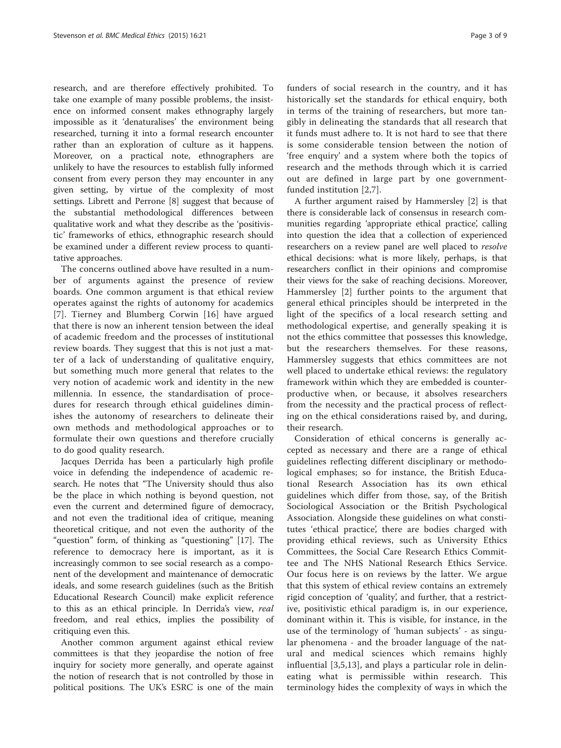research, and are therefore effectively prohibited. To take one example of many possible problems, the insistence on informed consent makes ethnography largely impossible as it 'denaturalises' the environment being researched, turning it into a formal research encounter rather than an exploration of culture as it happens. Moreover, on a practical note, ethnographers are unlikely to have the resources to establish fully informed consent from every person they may encounter in any given setting, by virtue of the complexity of most settings. Librett and Perrone [\[8](#page-8-0)] suggest that because of the substantial methodological differences between qualitative work and what they describe as the 'positivistic' frameworks of ethics, ethnographic research should be examined under a different review process to quantitative approaches.

The concerns outlined above have resulted in a number of arguments against the presence of review boards. One common argument is that ethical review operates against the rights of autonomy for academics [[7](#page-8-0)]. Tierney and Blumberg Corwin [\[16](#page-8-0)] have argued that there is now an inherent tension between the ideal of academic freedom and the processes of institutional review boards. They suggest that this is not just a matter of a lack of understanding of qualitative enquiry, but something much more general that relates to the very notion of academic work and identity in the new millennia. In essence, the standardisation of procedures for research through ethical guidelines diminishes the autonomy of researchers to delineate their own methods and methodological approaches or to formulate their own questions and therefore crucially to do good quality research.

Jacques Derrida has been a particularly high profile voice in defending the independence of academic research. He notes that "The University should thus also be the place in which nothing is beyond question, not even the current and determined figure of democracy, and not even the traditional idea of critique, meaning theoretical critique, and not even the authority of the "question" form, of thinking as "questioning" [[17\]](#page-8-0). The reference to democracy here is important, as it is increasingly common to see social research as a component of the development and maintenance of democratic ideals, and some research guidelines (such as the British Educational Research Council) make explicit reference to this as an ethical principle. In Derrida's view, real freedom, and real ethics, implies the possibility of critiquing even this.

Another common argument against ethical review committees is that they jeopardise the notion of free inquiry for society more generally, and operate against the notion of research that is not controlled by those in political positions. The UK's ESRC is one of the main

funders of social research in the country, and it has historically set the standards for ethical enquiry, both in terms of the training of researchers, but more tangibly in delineating the standards that all research that it funds must adhere to. It is not hard to see that there is some considerable tension between the notion of 'free enquiry' and a system where both the topics of research and the methods through which it is carried out are defined in large part by one governmentfunded institution [[2,7\]](#page-8-0).

A further argument raised by Hammersley [[2\]](#page-8-0) is that there is considerable lack of consensus in research communities regarding 'appropriate ethical practice', calling into question the idea that a collection of experienced researchers on a review panel are well placed to resolve ethical decisions: what is more likely, perhaps, is that researchers conflict in their opinions and compromise their views for the sake of reaching decisions. Moreover, Hammersley [[2\]](#page-8-0) further points to the argument that general ethical principles should be interpreted in the light of the specifics of a local research setting and methodological expertise, and generally speaking it is not the ethics committee that possesses this knowledge, but the researchers themselves. For these reasons, Hammersley suggests that ethics committees are not well placed to undertake ethical reviews: the regulatory framework within which they are embedded is counterproductive when, or because, it absolves researchers from the necessity and the practical process of reflecting on the ethical considerations raised by, and during, their research.

Consideration of ethical concerns is generally accepted as necessary and there are a range of ethical guidelines reflecting different disciplinary or methodological emphases; so for instance, the British Educational Research Association has its own ethical guidelines which differ from those, say, of the British Sociological Association or the British Psychological Association. Alongside these guidelines on what constitutes 'ethical practice', there are bodies charged with providing ethical reviews, such as University Ethics Committees, the Social Care Research Ethics Committee and The NHS National Research Ethics Service. Our focus here is on reviews by the latter. We argue that this system of ethical review contains an extremely rigid conception of 'quality', and further, that a restrictive, positivistic ethical paradigm is, in our experience, dominant within it. This is visible, for instance, in the use of the terminology of 'human subjects' - as singular phenomena - and the broader language of the natural and medical sciences which remains highly influential [\[3](#page-8-0),[5,13\]](#page-8-0), and plays a particular role in delineating what is permissible within research. This terminology hides the complexity of ways in which the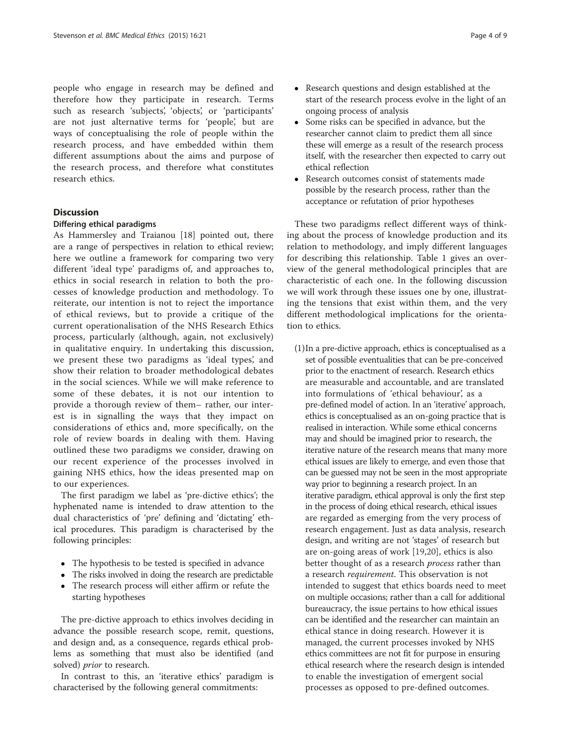people who engage in research may be defined and therefore how they participate in research. Terms such as research 'subjects', 'objects', or 'participants' are not just alternative terms for 'people', but are ways of conceptualising the role of people within the research process, and have embedded within them different assumptions about the aims and purpose of the research process, and therefore what constitutes research ethics.

### **Discussion**

#### Differing ethical paradigms

As Hammersley and Traianou [[18](#page-8-0)] pointed out, there are a range of perspectives in relation to ethical review; here we outline a framework for comparing two very different 'ideal type' paradigms of, and approaches to, ethics in social research in relation to both the processes of knowledge production and methodology. To reiterate, our intention is not to reject the importance of ethical reviews, but to provide a critique of the current operationalisation of the NHS Research Ethics process, particularly (although, again, not exclusively) in qualitative enquiry. In undertaking this discussion, we present these two paradigms as 'ideal types', and show their relation to broader methodological debates in the social sciences. While we will make reference to some of these debates, it is not our intention to provide a thorough review of them– rather, our interest is in signalling the ways that they impact on considerations of ethics and, more specifically, on the role of review boards in dealing with them. Having outlined these two paradigms we consider, drawing on our recent experience of the processes involved in gaining NHS ethics, how the ideas presented map on to our experiences.

The first paradigm we label as 'pre-dictive ethics'; the hyphenated name is intended to draw attention to the dual characteristics of 'pre' defining and 'dictating' ethical procedures. This paradigm is characterised by the following principles:

- The hypothesis to be tested is specified in advance
- The risks involved in doing the research are predictable
- The research process will either affirm or refute the starting hypotheses

The pre-dictive approach to ethics involves deciding in advance the possible research scope, remit, questions, and design and, as a consequence, regards ethical problems as something that must also be identified (and solved) *prior* to research.

In contrast to this, an 'iterative ethics' paradigm is characterised by the following general commitments:

- Research questions and design established at the start of the research process evolve in the light of an ongoing process of analysis
- Some risks can be specified in advance, but the researcher cannot claim to predict them all since these will emerge as a result of the research process itself, with the researcher then expected to carry out ethical reflection
- Research outcomes consist of statements made possible by the research process, rather than the acceptance or refutation of prior hypotheses

These two paradigms reflect different ways of thinking about the process of knowledge production and its relation to methodology, and imply different languages for describing this relationship. Table [1](#page-4-0) gives an overview of the general methodological principles that are characteristic of each one. In the following discussion we will work through these issues one by one, illustrating the tensions that exist within them, and the very different methodological implications for the orientation to ethics.

(1)In a pre-dictive approach, ethics is conceptualised as a set of possible eventualities that can be pre-conceived prior to the enactment of research. Research ethics are measurable and accountable, and are translated into formulations of 'ethical behaviour', as a pre-defined model of action. In an 'iterative' approach, ethics is conceptualised as an on-going practice that is realised in interaction. While some ethical concerns may and should be imagined prior to research, the iterative nature of the research means that many more ethical issues are likely to emerge, and even those that can be guessed may not be seen in the most appropriate way prior to beginning a research project. In an iterative paradigm, ethical approval is only the first step in the process of doing ethical research, ethical issues are regarded as emerging from the very process of research engagement. Just as data analysis, research design, and writing are not 'stages' of research but are on-going areas of work [[19,20\]](#page-8-0), ethics is also better thought of as a research *process* rather than a research requirement. This observation is not intended to suggest that ethics boards need to meet on multiple occasions; rather than a call for additional bureaucracy, the issue pertains to how ethical issues can be identified and the researcher can maintain an ethical stance in doing research. However it is managed, the current processes invoked by NHS ethics committees are not fit for purpose in ensuring ethical research where the research design is intended to enable the investigation of emergent social processes as opposed to pre-defined outcomes.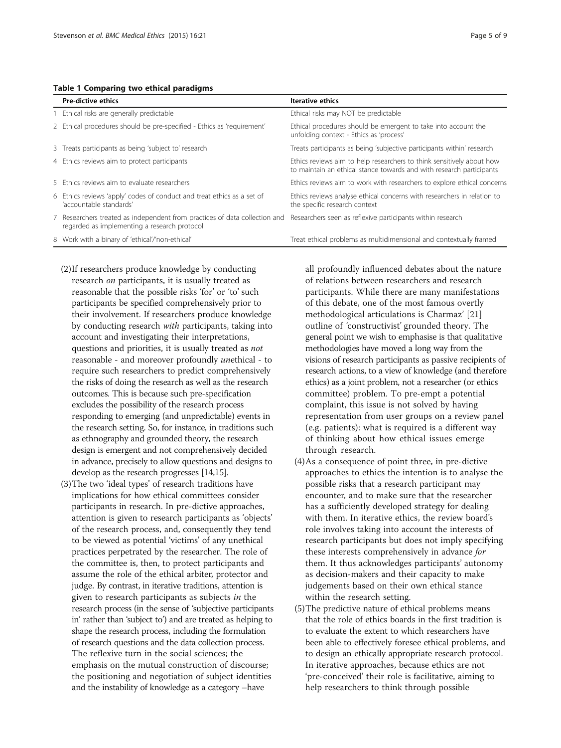<span id="page-4-0"></span>

| <b>Pre-dictive ethics</b>                                                                                                                                                             | Iterative ethics                                                                                                                              |  |
|---------------------------------------------------------------------------------------------------------------------------------------------------------------------------------------|-----------------------------------------------------------------------------------------------------------------------------------------------|--|
| Ethical risks are generally predictable                                                                                                                                               | Ethical risks may NOT be predictable                                                                                                          |  |
| 2 Ethical procedures should be pre-specified - Ethics as 'requirement'                                                                                                                | Ethical procedures should be emergent to take into account the<br>unfolding context - Ethics as 'process'                                     |  |
| 3 Treats participants as being 'subject to' research                                                                                                                                  | Treats participants as being 'subjective participants within' research                                                                        |  |
| 4 Ethics reviews aim to protect participants                                                                                                                                          | Ethics reviews aim to help researchers to think sensitively about how<br>to maintain an ethical stance towards and with research participants |  |
| 5 Ethics reviews aim to evaluate researchers                                                                                                                                          | Ethics reviews aim to work with researchers to explore ethical concerns                                                                       |  |
| 6 Ethics reviews 'apply' codes of conduct and treat ethics as a set of<br>'accountable standards'                                                                                     | Ethics reviews analyse ethical concerns with researchers in relation to<br>the specific research context                                      |  |
| 7 Researchers treated as independent from practices of data collection and Researchers seen as reflexive participants within research<br>regarded as implementing a research protocol |                                                                                                                                               |  |
| 8 Work with a binary of 'ethical'/'non-ethical'                                                                                                                                       | Treat ethical problems as multidimensional and contextually framed                                                                            |  |

- (2)If researchers produce knowledge by conducting research on participants, it is usually treated as reasonable that the possible risks 'for' or 'to' such participants be specified comprehensively prior to their involvement. If researchers produce knowledge by conducting research with participants, taking into account and investigating their interpretations, questions and priorities, it is usually treated as not reasonable - and moreover profoundly unethical - to require such researchers to predict comprehensively the risks of doing the research as well as the research outcomes. This is because such pre-specification excludes the possibility of the research process responding to emerging (and unpredictable) events in the research setting. So, for instance, in traditions such as ethnography and grounded theory, the research design is emergent and not comprehensively decided in advance, precisely to allow questions and designs to develop as the research progresses [[14,15\]](#page-8-0).
- (3)The two 'ideal types' of research traditions have implications for how ethical committees consider participants in research. In pre-dictive approaches, attention is given to research participants as 'objects' of the research process, and, consequently they tend to be viewed as potential 'victims' of any unethical practices perpetrated by the researcher. The role of the committee is, then, to protect participants and assume the role of the ethical arbiter, protector and judge. By contrast, in iterative traditions, attention is given to research participants as subjects in the research process (in the sense of 'subjective participants in' rather than 'subject to') and are treated as helping to shape the research process, including the formulation of research questions and the data collection process. The reflexive turn in the social sciences; the emphasis on the mutual construction of discourse; the positioning and negotiation of subject identities and the instability of knowledge as a category –have

all profoundly influenced debates about the nature of relations between researchers and research participants. While there are many manifestations of this debate, one of the most famous overtly methodological articulations is Charmaz' [[21\]](#page-8-0) outline of 'constructivist' grounded theory. The general point we wish to emphasise is that qualitative methodologies have moved a long way from the visions of research participants as passive recipients of research actions, to a view of knowledge (and therefore ethics) as a joint problem, not a researcher (or ethics committee) problem. To pre-empt a potential complaint, this issue is not solved by having representation from user groups on a review panel (e.g. patients): what is required is a different way of thinking about how ethical issues emerge through research.

- (4)As a consequence of point three, in pre-dictive approaches to ethics the intention is to analyse the possible risks that a research participant may encounter, and to make sure that the researcher has a sufficiently developed strategy for dealing with them. In iterative ethics, the review board's role involves taking into account the interests of research participants but does not imply specifying these interests comprehensively in advance for them. It thus acknowledges participants' autonomy as decision-makers and their capacity to make judgements based on their own ethical stance within the research setting.
- (5)The predictive nature of ethical problems means that the role of ethics boards in the first tradition is to evaluate the extent to which researchers have been able to effectively foresee ethical problems, and to design an ethically appropriate research protocol. In iterative approaches, because ethics are not 'pre-conceived' their role is facilitative, aiming to help researchers to think through possible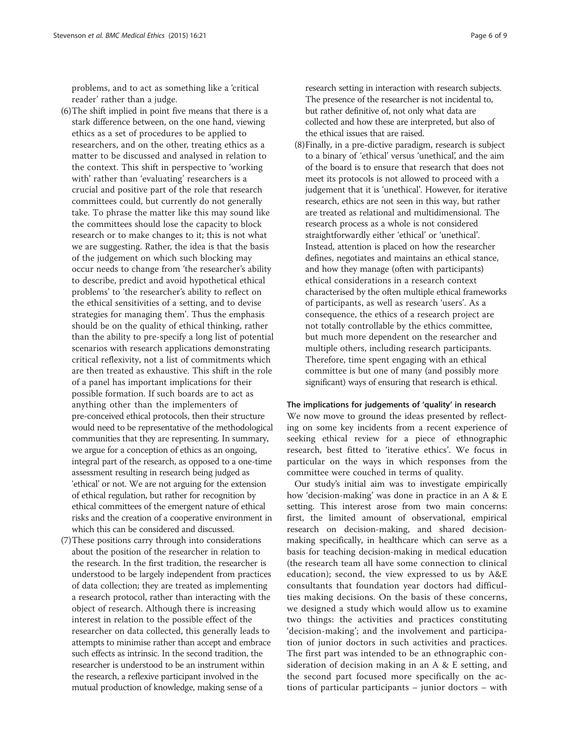problems, and to act as something like a 'critical reader' rather than a judge.

- (6)The shift implied in point five means that there is a stark difference between, on the one hand, viewing ethics as a set of procedures to be applied to researchers, and on the other, treating ethics as a matter to be discussed and analysed in relation to the context. This shift in perspective to 'working with' rather than 'evaluating' researchers is a crucial and positive part of the role that research committees could, but currently do not generally take. To phrase the matter like this may sound like the committees should lose the capacity to block research or to make changes to it; this is not what we are suggesting. Rather, the idea is that the basis of the judgement on which such blocking may occur needs to change from 'the researcher's ability to describe, predict and avoid hypothetical ethical problems' to 'the researcher's ability to reflect on the ethical sensitivities of a setting, and to devise strategies for managing them'. Thus the emphasis should be on the quality of ethical thinking, rather than the ability to pre-specify a long list of potential scenarios with research applications demonstrating critical reflexivity, not a list of commitments which are then treated as exhaustive. This shift in the role of a panel has important implications for their possible formation. If such boards are to act as anything other than the implementers of pre-conceived ethical protocols, then their structure would need to be representative of the methodological communities that they are representing. In summary, we argue for a conception of ethics as an ongoing, integral part of the research, as opposed to a one-time assessment resulting in research being judged as 'ethical' or not. We are not arguing for the extension of ethical regulation, but rather for recognition by ethical committees of the emergent nature of ethical risks and the creation of a cooperative environment in which this can be considered and discussed.
- (7)These positions carry through into considerations about the position of the researcher in relation to the research. In the first tradition, the researcher is understood to be largely independent from practices of data collection; they are treated as implementing a research protocol, rather than interacting with the object of research. Although there is increasing interest in relation to the possible effect of the researcher on data collected, this generally leads to attempts to minimise rather than accept and embrace such effects as intrinsic. In the second tradition, the researcher is understood to be an instrument within the research, a reflexive participant involved in the mutual production of knowledge, making sense of a

research setting in interaction with research subjects. The presence of the researcher is not incidental to, but rather definitive of, not only what data are collected and how these are interpreted, but also of the ethical issues that are raised.

(8)Finally, in a pre-dictive paradigm, research is subject to a binary of 'ethical' versus 'unethical', and the aim of the board is to ensure that research that does not meet its protocols is not allowed to proceed with a judgement that it is 'unethical'. However, for iterative research, ethics are not seen in this way, but rather are treated as relational and multidimensional. The research process as a whole is not considered straightforwardly either 'ethical' or 'unethical'. Instead, attention is placed on how the researcher defines, negotiates and maintains an ethical stance, and how they manage (often with participants) ethical considerations in a research context characterised by the often multiple ethical frameworks of participants, as well as research 'users'. As a consequence, the ethics of a research project are not totally controllable by the ethics committee, but much more dependent on the researcher and multiple others, including research participants. Therefore, time spent engaging with an ethical committee is but one of many (and possibly more significant) ways of ensuring that research is ethical.

The implications for judgements of 'quality' in research

We now move to ground the ideas presented by reflecting on some key incidents from a recent experience of seeking ethical review for a piece of ethnographic research, best fitted to 'iterative ethics'. We focus in particular on the ways in which responses from the committee were couched in terms of quality.

Our study's initial aim was to investigate empirically how 'decision-making' was done in practice in an A & E setting. This interest arose from two main concerns: first, the limited amount of observational, empirical research on decision-making, and shared decisionmaking specifically, in healthcare which can serve as a basis for teaching decision-making in medical education (the research team all have some connection to clinical education); second, the view expressed to us by A&E consultants that foundation year doctors had difficulties making decisions. On the basis of these concerns, we designed a study which would allow us to examine two things: the activities and practices constituting 'decision-making'; and the involvement and participation of junior doctors in such activities and practices. The first part was intended to be an ethnographic consideration of decision making in an A & E setting, and the second part focused more specifically on the actions of particular participants – junior doctors – with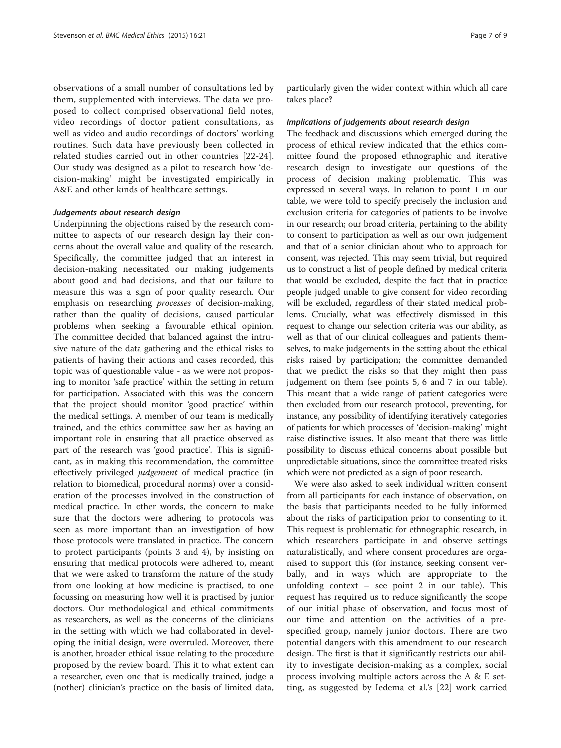observations of a small number of consultations led by them, supplemented with interviews. The data we proposed to collect comprised observational field notes, video recordings of doctor patient consultations, as well as video and audio recordings of doctors' working routines. Such data have previously been collected in related studies carried out in other countries [[22](#page-8-0)-[24](#page-8-0)]. Our study was designed as a pilot to research how 'decision-making' might be investigated empirically in A&E and other kinds of healthcare settings.

#### Judgements about research design

Underpinning the objections raised by the research committee to aspects of our research design lay their concerns about the overall value and quality of the research. Specifically, the committee judged that an interest in decision-making necessitated our making judgements about good and bad decisions, and that our failure to measure this was a sign of poor quality research. Our emphasis on researching processes of decision-making, rather than the quality of decisions, caused particular problems when seeking a favourable ethical opinion. The committee decided that balanced against the intrusive nature of the data gathering and the ethical risks to patients of having their actions and cases recorded, this topic was of questionable value - as we were not proposing to monitor 'safe practice' within the setting in return for participation. Associated with this was the concern that the project should monitor 'good practice' within the medical settings. A member of our team is medically trained, and the ethics committee saw her as having an important role in ensuring that all practice observed as part of the research was 'good practice'. This is significant, as in making this recommendation, the committee effectively privileged judgement of medical practice (in relation to biomedical, procedural norms) over a consideration of the processes involved in the construction of medical practice. In other words, the concern to make sure that the doctors were adhering to protocols was seen as more important than an investigation of how those protocols were translated in practice. The concern to protect participants (points 3 and 4), by insisting on ensuring that medical protocols were adhered to, meant that we were asked to transform the nature of the study from one looking at how medicine is practised, to one focussing on measuring how well it is practised by junior doctors. Our methodological and ethical commitments as researchers, as well as the concerns of the clinicians in the setting with which we had collaborated in developing the initial design, were overruled. Moreover, there is another, broader ethical issue relating to the procedure proposed by the review board. This it to what extent can a researcher, even one that is medically trained, judge a (nother) clinician's practice on the basis of limited data,

particularly given the wider context within which all care takes place?

#### Implications of judgements about research design

The feedback and discussions which emerged during the process of ethical review indicated that the ethics committee found the proposed ethnographic and iterative research design to investigate our questions of the process of decision making problematic. This was expressed in several ways. In relation to point 1 in our table, we were told to specify precisely the inclusion and exclusion criteria for categories of patients to be involve in our research; our broad criteria, pertaining to the ability to consent to participation as well as our own judgement and that of a senior clinician about who to approach for consent, was rejected. This may seem trivial, but required us to construct a list of people defined by medical criteria that would be excluded, despite the fact that in practice people judged unable to give consent for video recording will be excluded, regardless of their stated medical problems. Crucially, what was effectively dismissed in this request to change our selection criteria was our ability, as well as that of our clinical colleagues and patients themselves, to make judgements in the setting about the ethical risks raised by participation; the committee demanded that we predict the risks so that they might then pass judgement on them (see points 5, 6 and 7 in our table). This meant that a wide range of patient categories were then excluded from our research protocol, preventing, for instance, any possibility of identifying iteratively categories of patients for which processes of 'decision-making' might raise distinctive issues. It also meant that there was little possibility to discuss ethical concerns about possible but unpredictable situations, since the committee treated risks which were not predicted as a sign of poor research.

We were also asked to seek individual written consent from all participants for each instance of observation, on the basis that participants needed to be fully informed about the risks of participation prior to consenting to it. This request is problematic for ethnographic research, in which researchers participate in and observe settings naturalistically, and where consent procedures are organised to support this (for instance, seeking consent verbally, and in ways which are appropriate to the unfolding context – see point 2 in our table). This request has required us to reduce significantly the scope of our initial phase of observation, and focus most of our time and attention on the activities of a prespecified group, namely junior doctors. There are two potential dangers with this amendment to our research design. The first is that it significantly restricts our ability to investigate decision-making as a complex, social process involving multiple actors across the A & E setting, as suggested by Iedema et al.'s [\[22](#page-8-0)] work carried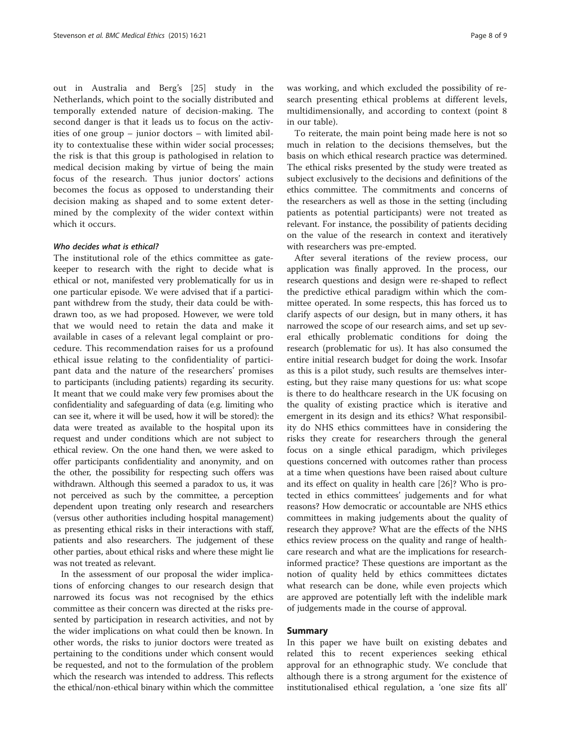out in Australia and Berg's [[25\]](#page-8-0) study in the Netherlands, which point to the socially distributed and temporally extended nature of decision-making. The second danger is that it leads us to focus on the activities of one group – junior doctors – with limited ability to contextualise these within wider social processes; the risk is that this group is pathologised in relation to medical decision making by virtue of being the main focus of the research. Thus junior doctors' actions becomes the focus as opposed to understanding their decision making as shaped and to some extent determined by the complexity of the wider context within which it occurs.

#### Who decides what is ethical?

The institutional role of the ethics committee as gatekeeper to research with the right to decide what is ethical or not, manifested very problematically for us in one particular episode. We were advised that if a participant withdrew from the study, their data could be withdrawn too, as we had proposed. However, we were told that we would need to retain the data and make it available in cases of a relevant legal complaint or procedure. This recommendation raises for us a profound ethical issue relating to the confidentiality of participant data and the nature of the researchers' promises to participants (including patients) regarding its security. It meant that we could make very few promises about the confidentiality and safeguarding of data (e.g. limiting who can see it, where it will be used, how it will be stored): the data were treated as available to the hospital upon its request and under conditions which are not subject to ethical review. On the one hand then, we were asked to offer participants confidentiality and anonymity, and on the other, the possibility for respecting such offers was withdrawn. Although this seemed a paradox to us, it was not perceived as such by the committee, a perception dependent upon treating only research and researchers (versus other authorities including hospital management) as presenting ethical risks in their interactions with staff, patients and also researchers. The judgement of these other parties, about ethical risks and where these might lie was not treated as relevant.

In the assessment of our proposal the wider implications of enforcing changes to our research design that narrowed its focus was not recognised by the ethics committee as their concern was directed at the risks presented by participation in research activities, and not by the wider implications on what could then be known. In other words, the risks to junior doctors were treated as pertaining to the conditions under which consent would be requested, and not to the formulation of the problem which the research was intended to address. This reflects the ethical/non-ethical binary within which the committee was working, and which excluded the possibility of research presenting ethical problems at different levels, multidimensionally, and according to context (point 8 in our table).

To reiterate, the main point being made here is not so much in relation to the decisions themselves, but the basis on which ethical research practice was determined. The ethical risks presented by the study were treated as subject exclusively to the decisions and definitions of the ethics committee. The commitments and concerns of the researchers as well as those in the setting (including patients as potential participants) were not treated as relevant. For instance, the possibility of patients deciding on the value of the research in context and iteratively with researchers was pre-empted.

After several iterations of the review process, our application was finally approved. In the process, our research questions and design were re-shaped to reflect the predictive ethical paradigm within which the committee operated. In some respects, this has forced us to clarify aspects of our design, but in many others, it has narrowed the scope of our research aims, and set up several ethically problematic conditions for doing the research (problematic for us). It has also consumed the entire initial research budget for doing the work. Insofar as this is a pilot study, such results are themselves interesting, but they raise many questions for us: what scope is there to do healthcare research in the UK focusing on the quality of existing practice which is iterative and emergent in its design and its ethics? What responsibility do NHS ethics committees have in considering the risks they create for researchers through the general focus on a single ethical paradigm, which privileges questions concerned with outcomes rather than process at a time when questions have been raised about culture and its effect on quality in health care [\[26\]](#page-8-0)? Who is protected in ethics committees' judgements and for what reasons? How democratic or accountable are NHS ethics committees in making judgements about the quality of research they approve? What are the effects of the NHS ethics review process on the quality and range of healthcare research and what are the implications for researchinformed practice? These questions are important as the notion of quality held by ethics committees dictates what research can be done, while even projects which are approved are potentially left with the indelible mark of judgements made in the course of approval.

#### Summary

In this paper we have built on existing debates and related this to recent experiences seeking ethical approval for an ethnographic study. We conclude that although there is a strong argument for the existence of institutionalised ethical regulation, a 'one size fits all'